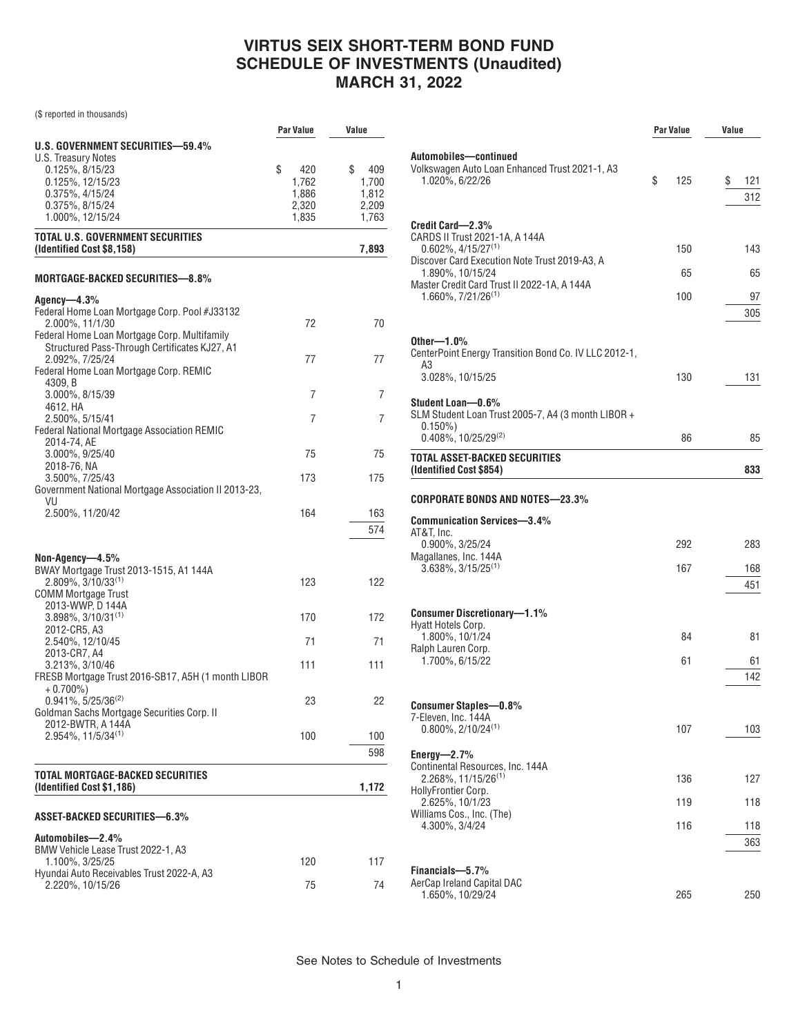# **VIRTUS SEIX SHORT-TERM BOND FUND SCHEDULE OF INVESTMENTS (Unaudited) MARCH 31, 2022**

(\$ reported in thousands)

|                                                                       | <b>Par Value</b> | Value     |
|-----------------------------------------------------------------------|------------------|-----------|
| U.S. GOVERNMENT SECURITIES-59.4%                                      |                  |           |
| U.S. Treasury Notes                                                   |                  |           |
| 0.125%, 8/15/23                                                       | \$<br>420        | \$<br>409 |
| 0.125%, 12/15/23                                                      | 1,762            | 1,700     |
| 0.375%, 4/15/24                                                       | 1,886            | 1,812     |
| 0.375%, 8/15/24                                                       | 2,320            | 2.209     |
| 1.000%, 12/15/24                                                      | 1,835            | 1,763     |
| <b>TOTAL U.S. GOVERNMENT SECURITIES</b><br>(Identified Cost \$8,158)  |                  | 7,893     |
| MORTGAGE-BACKED SECURITIES—8.8%                                       |                  |           |
| Agency—4.3%                                                           |                  |           |
| Federal Home Loan Mortgage Corp. Pool #J33132                         |                  |           |
| 2.000%, 11/1/30                                                       | 72               | 70        |
| Federal Home Loan Mortgage Corp. Multifamily                          |                  |           |
| Structured Pass-Through Certificates KJ27, A1                         |                  |           |
| 2.092%, 7/25/24                                                       | 77               | 77        |
| Federal Home Loan Mortgage Corp. REMIC                                |                  |           |
| 4309, B                                                               |                  |           |
| 3.000%, 8/15/39                                                       | 7                | 7         |
| 4612, HA                                                              |                  |           |
| 2.500%, 5/15/41<br><b>Federal National Mortgage Association REMIC</b> | 7                | 7         |
| 2014-74, AE                                                           |                  |           |
| 3.000%, 9/25/40                                                       | 75               | 75        |
| 2018-76, NA                                                           |                  |           |
| 3.500%, 7/25/43                                                       | 173              | 175       |
| Government National Mortgage Association II 2013-23,                  |                  |           |
| VU                                                                    |                  |           |
| 2.500%, 11/20/42                                                      | 164              | 163       |
|                                                                       |                  | 574       |
|                                                                       |                  |           |
|                                                                       |                  |           |
| Non-Agency-4.5%                                                       |                  |           |
| BWAY Mortgage Trust 2013-1515, A1 144A<br>2.809%, 3/10/33(1)          | 123              | 122       |
| <b>COMM Mortgage Trust</b>                                            |                  |           |
| 2013-WWP, D 144A                                                      |                  |           |
| $3.898\%$ , $3/10/31^{(1)}$                                           | 170              | 172       |
| 2012-CR5, A3                                                          |                  |           |
| 2.540%, 12/10/45                                                      | 71               | 71        |
| 2013-CR7, A4                                                          |                  |           |
| 3.213%, 3/10/46                                                       | 111              | 111       |
| FRESB Mortgage Trust 2016-SB17, A5H (1 month LIBOR                    |                  |           |
| $+0.700\%)$                                                           |                  |           |
| $0.941\%, 5/25/36^{(2)}$                                              | 23               | 22        |
| Goldman Sachs Mortgage Securities Corp. II                            |                  |           |
| 2012-BWTR, A 144A                                                     |                  |           |
| $2.954\%, 11/5/34^{(1)}$                                              | 100              | 100       |
|                                                                       |                  | 598       |
|                                                                       |                  |           |
| TOTAL MORTGAGE-BACKED SECURITIES<br>(Identified Cost \$1,186)         |                  | 1,172     |
|                                                                       |                  |           |
| ASSET-BACKED SECURITIES—6.3%                                          |                  |           |
| Automobiles-2.4%                                                      |                  |           |
| BMW Vehicle Lease Trust 2022-1, A3                                    |                  |           |
| 1.100%, 3/25/25                                                       | 120              | 117       |
| Hyundai Auto Receivables Trust 2022-A, A3                             |                  |           |
| 2.220%, 10/15/26                                                      | 75               | 74        |
|                                                                       |                  |           |

|                                                                                                                                                                                                              | <b>Par Value</b> | Value |            |
|--------------------------------------------------------------------------------------------------------------------------------------------------------------------------------------------------------------|------------------|-------|------------|
| Automobiles—continued<br>Volkswagen Auto Loan Enhanced Trust 2021-1, A3<br>1.020%, 6/22/26                                                                                                                   | \$<br>125        | \$    | 121<br>312 |
| Credit Card-2.3%<br>CARDS II Trust 2021-1A, A 144A<br>$0.602\%$ , 4/15/27 <sup>(1)</sup><br>Discover Card Execution Note Trust 2019-A3, A<br>1.890%, 10/15/24<br>Master Credit Card Trust II 2022-1A, A 144A | 150<br>65        |       | 143<br>65  |
| 1.660%, 7/21/26 <sup>(1)</sup><br>Other— $1.0\%$                                                                                                                                                             | 100              |       | 97<br>305  |
| CenterPoint Energy Transition Bond Co. IV LLC 2012-1,<br>A3<br>3.028%, 10/15/25                                                                                                                              | 130              |       | 131        |
| Student Loan-0.6%<br>SLM Student Loan Trust 2005-7, A4 (3 month LIBOR +<br>$0.150\%)$<br>$0.408\%$ , 10/25/29 <sup>(2)</sup>                                                                                 | 86               |       | 85         |
| <b>TOTAL ASSET-BACKED SECURITIES</b><br>(Identified Cost \$854)                                                                                                                                              |                  |       | 833        |
| CORPORATE BONDS AND NOTES-23.3%<br><b>Communication Services-3.4%</b>                                                                                                                                        |                  |       |            |
| AT&T, Inc.<br>0.900%, 3/25/24                                                                                                                                                                                | 292              |       | 283        |
| Magallanes, Inc. 144A<br>$3.638\%$ , $3/15/25^{(1)}$                                                                                                                                                         | 167              |       | 168<br>451 |
| <b>Consumer Discretionary-1.1%</b><br>Hyatt Hotels Corp.                                                                                                                                                     |                  |       |            |
| 1.800%, 10/1/24<br>Ralph Lauren Corp.                                                                                                                                                                        | 84               |       | 81         |
| 1.700%, 6/15/22                                                                                                                                                                                              | 61               |       | 61<br>142  |
| <b>Consumer Staples-0.8%</b><br>7-Eleven, Inc. 144A<br>$0.800\%$ , $2/10/24^{(1)}$                                                                                                                           | 107              |       | 103        |
| Energy- $2.7\%$<br>Continental Resources, Inc. 144A<br>$2.268\%, 11/15/26^{(1)}$<br>HollyFrontier Corp.                                                                                                      | 136              |       | 127        |
| 2.625%, 10/1/23<br>Williams Cos., Inc. (The)                                                                                                                                                                 | 119              |       | 118        |
| 4.300%, 3/4/24                                                                                                                                                                                               | 116              |       | 118<br>363 |
| Financials-5.7%<br>AerCap Ireland Capital DAC<br>1.650%, 10/29/24                                                                                                                                            | 265              |       | 250        |

See Notes to Schedule of Investments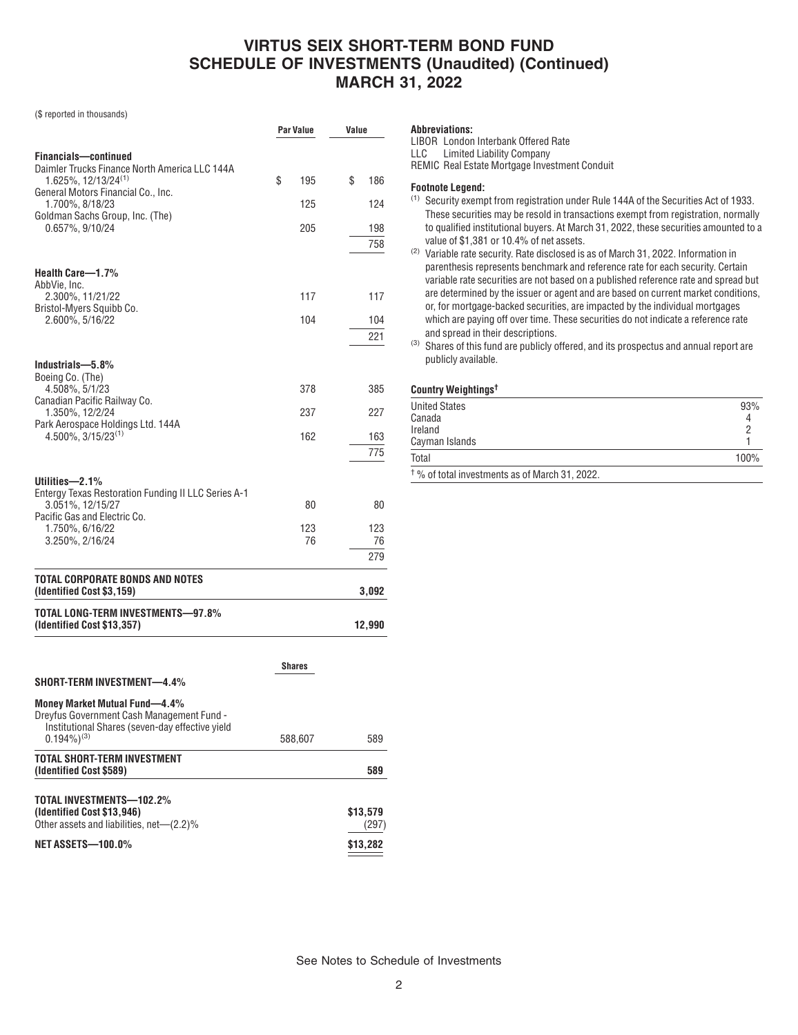# **VIRTUS SEIX SHORT-TERM BOND FUND SCHEDULE OF INVESTMENTS (Unaudited) (Continued) MARCH 31, 2022**

**Par Value Value**

(\$ reported in thousands)

| <b>Financials-continued</b><br>Daimler Trucks Finance North America LLC 144A |               |            |
|------------------------------------------------------------------------------|---------------|------------|
| 1.625%, 12/13/24(1)                                                          | \$<br>195     | \$<br>186  |
| General Motors Financial Co., Inc.<br>1.700%, 8/18/23                        | 125           | 124        |
| Goldman Sachs Group, Inc. (The)                                              |               |            |
| 0.657%, 9/10/24                                                              | 205           | 198<br>758 |
|                                                                              |               |            |
| Health Care-1.7%                                                             |               |            |
| AbbVie, Inc.<br>2.300%, 11/21/22                                             | 117           | 117        |
| Bristol-Myers Squibb Co.<br>2.600%, 5/16/22                                  | 104           | 104        |
|                                                                              |               | 221        |
|                                                                              |               |            |
| Industrials-5.8%<br>Boeing Co. (The)                                         |               |            |
| 4.508%, 5/1/23<br>Canadian Pacific Railway Co.                               | 378           | 385        |
| 1.350%, 12/2/24                                                              | 237           | 227        |
| Park Aerospace Holdings Ltd. 144A<br>$4.500\%$ , $3/15/23^{(1)}$             | 162           | 163        |
|                                                                              |               | 775        |
| Utilities-2.1%                                                               |               |            |
| Entergy Texas Restoration Funding II LLC Series A-1                          |               |            |
| 3.051%, 12/15/27<br>Pacific Gas and Electric Co.                             | 80            | 80         |
| 1.750%, 6/16/22                                                              | 123           | 123        |
| 3.250%, 2/16/24                                                              | 76            | 76<br>279  |
|                                                                              |               |            |
| TOTAL CORPORATE BONDS AND NOTES<br>(Identified Cost \$3,159)                 |               | 3,092      |
| TOTAL LONG-TERM INVESTMENTS-97.8%<br>(Identified Cost \$13,357)              |               | 12,990     |
|                                                                              |               |            |
|                                                                              | <b>Shares</b> |            |
| <b>SHORT-TERM INVESTMENT-4.4%</b>                                            |               |            |
|                                                                              |               |            |

#### **Money Market Mutual Fund—4.4%** Dreyfus Government Cash Management Fund -

| Institutional Shares (seven-day effective yield<br>$0.194\%$ <sup>(3)</sup>                        | 588,607 | 589               |
|----------------------------------------------------------------------------------------------------|---------|-------------------|
| TOTAL SHORT-TERM INVESTMENT<br>(Identified Cost \$589)                                             |         | 589               |
| TOTAL INVESTMENTS-102.2%<br>(Identified Cost \$13,946)<br>Other assets and liabilities, net-(2.2)% |         | \$13,579<br>(297) |
| <b>NET ASSETS-100.0%</b>                                                                           |         | \$13,282          |

**Abbreviations:** LIBOR London Interbank Offered Rate LLC Limited Liability Company REMIC Real Estate Mortgage Investment Conduit

### **Footnote Legend:**

- (1) Security exempt from registration under Rule 144A of the Securities Act of 1933. These securities may be resold in transactions exempt from registration, normally to qualified institutional buyers. At March 31, 2022, these securities amounted to a value of \$1,381 or 10.4% of net assets.
- (2) Variable rate security. Rate disclosed is as of March 31, 2022. Information in parenthesis represents benchmark and reference rate for each security. Certain variable rate securities are not based on a published reference rate and spread but are determined by the issuer or agent and are based on current market conditions, or, for mortgage-backed securities, are impacted by the individual mortgages which are paying off over time. These securities do not indicate a reference rate and spread in their descriptions.
- (3) Shares of this fund are publicly offered, and its prospectus and annual report are publicly available.

### **Country Weightings†**

| <b>United States</b>                                      | 93%  |
|-----------------------------------------------------------|------|
| Canada                                                    |      |
| Ireland                                                   |      |
| Cayman Islands                                            |      |
| Total                                                     | 100% |
| <sup>†</sup> % of total investments as of March 31, 2022. |      |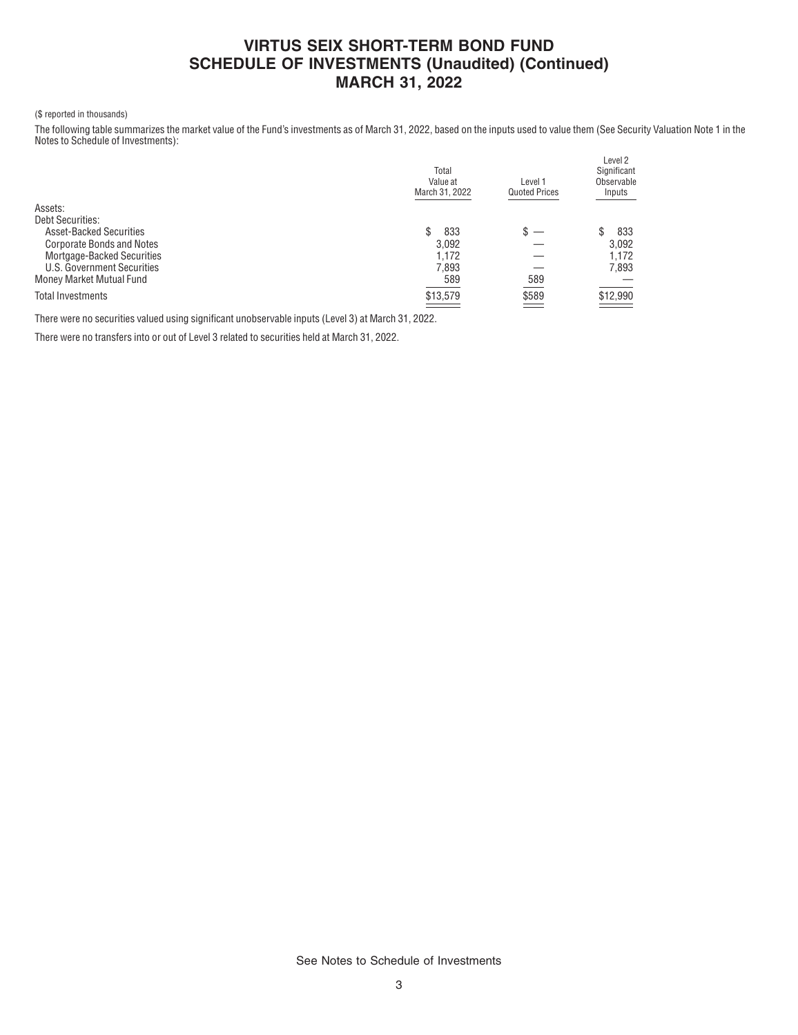# **VIRTUS SEIX SHORT-TERM BOND FUND SCHEDULE OF INVESTMENTS (Unaudited) (Continued) MARCH 31, 2022**

### (\$ reported in thousands)

The following table summarizes the market value of the Fund's investments as of March 31, 2022, based on the inputs used to value them (See Security Valuation Note 1 in the Notes to Schedule of Investments):

|                                  | Total<br>Value at<br>March 31, 2022 | Level 1<br><b>Quoted Prices</b> | Level 2<br>Significant<br>Observable<br>Inputs |
|----------------------------------|-------------------------------------|---------------------------------|------------------------------------------------|
| Assets:                          |                                     |                                 |                                                |
| <b>Debt Securities:</b>          |                                     |                                 |                                                |
| <b>Asset-Backed Securities</b>   | 833<br>S                            |                                 | 833                                            |
| <b>Corporate Bonds and Notes</b> | 3.092                               |                                 | 3.092                                          |
| Mortgage-Backed Securities       | 1.172                               |                                 | 1.172                                          |
| U.S. Government Securities       | 7,893                               |                                 | 7,893                                          |
| Money Market Mutual Fund         | 589                                 | 589                             |                                                |
| <b>Total Investments</b>         | \$13,579                            | \$589<br>$\equiv$               | \$12,990                                       |
|                                  |                                     |                                 |                                                |

There were no securities valued using significant unobservable inputs (Level 3) at March 31, 2022.

There were no transfers into or out of Level 3 related to securities held at March 31, 2022.

See Notes to Schedule of Investments